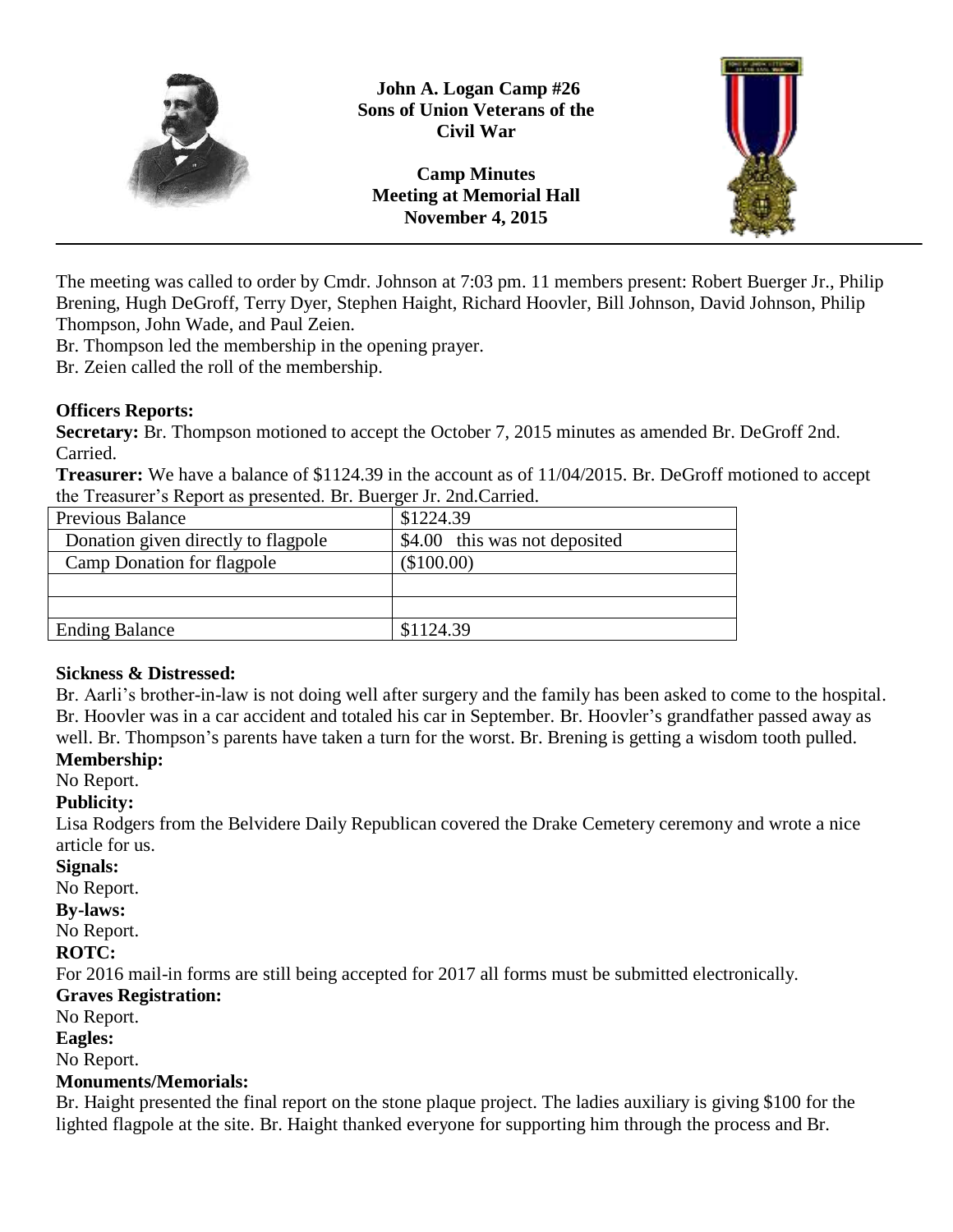

**John A. Logan Camp #26 Sons of Union Veterans of the Civil War**

**Camp Minutes Meeting at Memorial Hall November 4, 2015**



The meeting was called to order by Cmdr. Johnson at 7:03 pm. 11 members present: Robert Buerger Jr., Philip Brening, Hugh DeGroff, Terry Dyer, Stephen Haight, Richard Hoovler, Bill Johnson, David Johnson, Philip Thompson, John Wade, and Paul Zeien.

Br. Thompson led the membership in the opening prayer.

Br. Zeien called the roll of the membership.

## **Officers Reports:**

**Secretary:** Br. Thompson motioned to accept the October 7, 2015 minutes as amended Br. DeGroff 2nd. Carried.

**Treasurer:** We have a balance of \$1124.39 in the account as of 11/04/2015. Br. DeGroff motioned to accept the Treasurer's Report as presented. Br. Buerger Jr. 2nd.Carried.

| <b>Previous Balance</b>             | \$1224.39                     |
|-------------------------------------|-------------------------------|
| Donation given directly to flagpole | \$4.00 this was not deposited |
| Camp Donation for flagpole          | (\$100.00)                    |
|                                     |                               |
|                                     |                               |
| <b>Ending Balance</b>               | \$1124.39                     |

## **Sickness & Distressed:**

Br. Aarli's brother-in-law is not doing well after surgery and the family has been asked to come to the hospital. Br. Hoovler was in a car accident and totaled his car in September. Br. Hoovler's grandfather passed away as well. Br. Thompson's parents have taken a turn for the worst. Br. Brening is getting a wisdom tooth pulled.

## **Membership:**

No Report.

## **Publicity:**

Lisa Rodgers from the Belvidere Daily Republican covered the Drake Cemetery ceremony and wrote a nice article for us.

#### **Signals:**

No Report.

## **By-laws:**

No Report.

## **ROTC:**

For 2016 mail-in forms are still being accepted for 2017 all forms must be submitted electronically.

# **Graves Registration:**

No Report.

## **Eagles:**

No Report.

## **Monuments/Memorials:**

Br. Haight presented the final report on the stone plaque project. The ladies auxiliary is giving \$100 for the lighted flagpole at the site. Br. Haight thanked everyone for supporting him through the process and Br.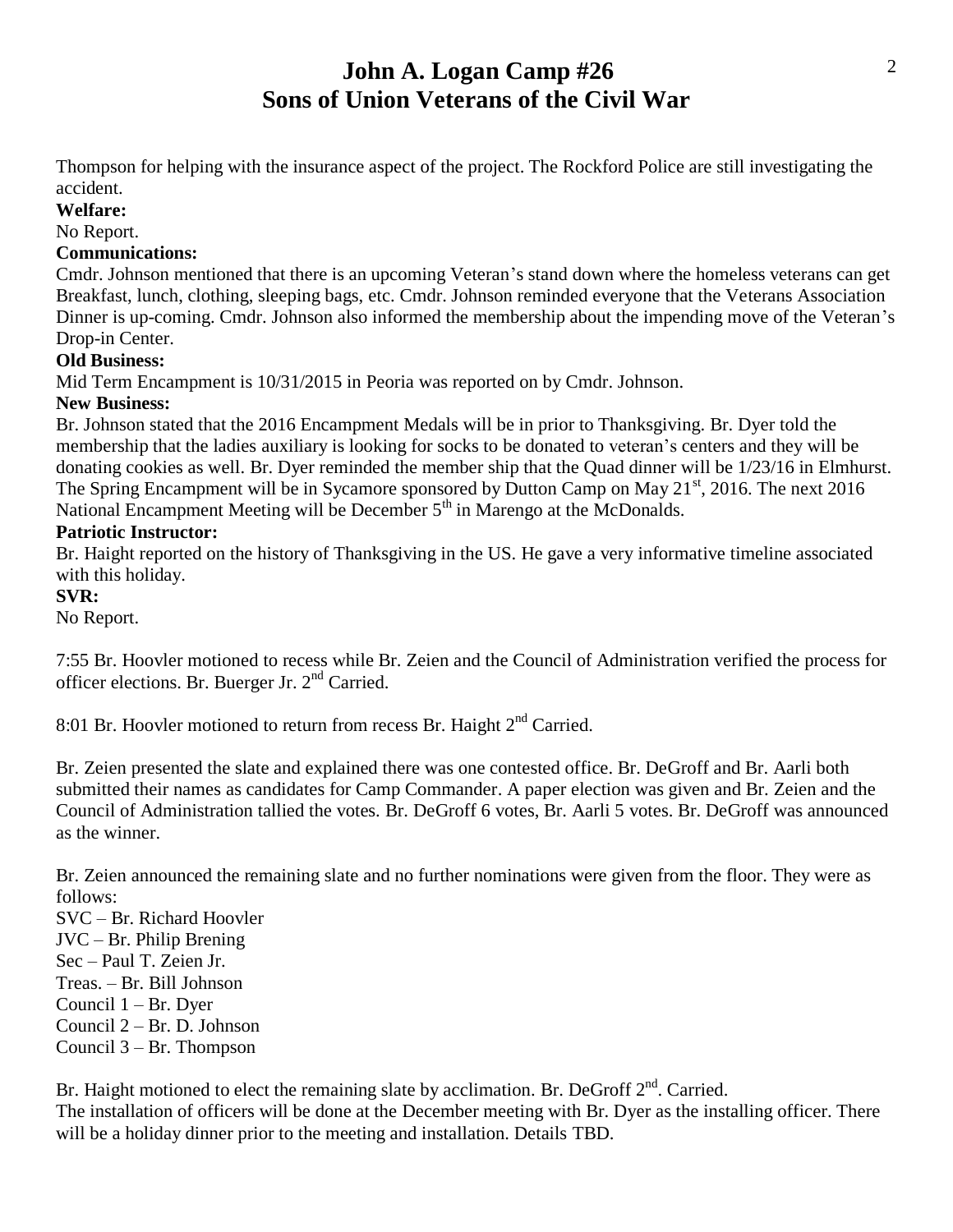# **John A. Logan Camp #26 Sons of Union Veterans of the Civil War**

Thompson for helping with the insurance aspect of the project. The Rockford Police are still investigating the accident.

**Welfare:**

## No Report.

#### **Communications:**

Cmdr. Johnson mentioned that there is an upcoming Veteran's stand down where the homeless veterans can get Breakfast, lunch, clothing, sleeping bags, etc. Cmdr. Johnson reminded everyone that the Veterans Association Dinner is up-coming. Cmdr. Johnson also informed the membership about the impending move of the Veteran's Drop-in Center.

#### **Old Business:**

Mid Term Encampment is 10/31/2015 in Peoria was reported on by Cmdr. Johnson.

#### **New Business:**

Br. Johnson stated that the 2016 Encampment Medals will be in prior to Thanksgiving. Br. Dyer told the membership that the ladies auxiliary is looking for socks to be donated to veteran's centers and they will be donating cookies as well. Br. Dyer reminded the member ship that the Quad dinner will be 1/23/16 in Elmhurst. The Spring Encampment will be in Sycamore sponsored by Dutton Camp on May  $21<sup>st</sup>$ , 2016. The next 2016 National Encampment Meeting will be December  $5<sup>th</sup>$  in Marengo at the McDonalds.

#### **Patriotic Instructor:**

Br. Haight reported on the history of Thanksgiving in the US. He gave a very informative timeline associated with this holiday.

#### **SVR:**

No Report.

7:55 Br. Hoovler motioned to recess while Br. Zeien and the Council of Administration verified the process for officer elections. Br. Buerger Jr.  $2<sup>nd</sup>$  Carried.

8:01 Br. Hoovler motioned to return from recess Br. Haight  $2<sup>nd</sup>$  Carried.

Br. Zeien presented the slate and explained there was one contested office. Br. DeGroff and Br. Aarli both submitted their names as candidates for Camp Commander. A paper election was given and Br. Zeien and the Council of Administration tallied the votes. Br. DeGroff 6 votes, Br. Aarli 5 votes. Br. DeGroff was announced as the winner.

Br. Zeien announced the remaining slate and no further nominations were given from the floor. They were as follows:

SVC – Br. Richard Hoovler JVC – Br. Philip Brening Sec – Paul T. Zeien Jr. Treas. – Br. Bill Johnson Council 1 – Br. Dyer

Council 2 – Br. D. Johnson

Council 3 – Br. Thompson

Br. Haight motioned to elect the remaining slate by acclimation. Br. DeGroff  $2<sup>nd</sup>$ . Carried. The installation of officers will be done at the December meeting with Br. Dyer as the installing officer. There

will be a holiday dinner prior to the meeting and installation. Details TBD.